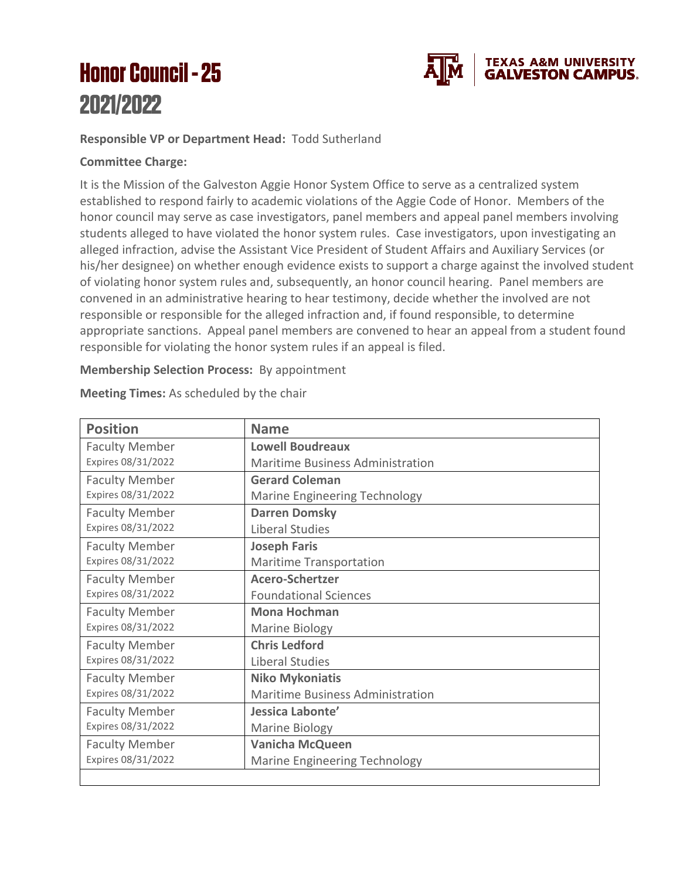## **Honor Council - 25** 2021/2022



## **Responsible VP or Department Head:** Todd Sutherland

## **Committee Charge:**

It is the Mission of the Galveston Aggie Honor System Office to serve as a centralized system established to respond fairly to academic violations of the Aggie Code of Honor. Members of the honor council may serve as case investigators, panel members and appeal panel members involving students alleged to have violated the honor system rules. Case investigators, upon investigating an alleged infraction, advise the Assistant Vice President of Student Affairs and Auxiliary Services (or his/her designee) on whether enough evidence exists to support a charge against the involved student of violating honor system rules and, subsequently, an honor council hearing. Panel members are convened in an administrative hearing to hear testimony, decide whether the involved are not responsible or responsible for the alleged infraction and, if found responsible, to determine appropriate sanctions. Appeal panel members are convened to hear an appeal from a student found responsible for violating the honor system rules if an appeal is filed.

## **Membership Selection Process:** By appointment

| <b>Position</b>                             | <b>Name</b>                             |
|---------------------------------------------|-----------------------------------------|
| <b>Faculty Member</b>                       | <b>Lowell Boudreaux</b>                 |
| Expires 08/31/2022                          | <b>Maritime Business Administration</b> |
| <b>Faculty Member</b>                       | <b>Gerard Coleman</b>                   |
| Expires 08/31/2022                          | <b>Marine Engineering Technology</b>    |
| <b>Faculty Member</b>                       | <b>Darren Domsky</b>                    |
| Expires 08/31/2022                          | Liberal Studies                         |
| <b>Faculty Member</b>                       | <b>Joseph Faris</b>                     |
| Expires 08/31/2022                          | <b>Maritime Transportation</b>          |
| <b>Faculty Member</b><br>Expires 08/31/2022 | <b>Acero-Schertzer</b>                  |
|                                             | <b>Foundational Sciences</b>            |
| <b>Faculty Member</b>                       | <b>Mona Hochman</b>                     |
| Expires 08/31/2022                          | <b>Marine Biology</b>                   |
| <b>Faculty Member</b>                       | <b>Chris Ledford</b>                    |
| Expires 08/31/2022                          | Liberal Studies                         |
| <b>Faculty Member</b><br>Expires 08/31/2022 | <b>Niko Mykoniatis</b>                  |
|                                             | <b>Maritime Business Administration</b> |
| <b>Faculty Member</b><br>Expires 08/31/2022 | Jessica Labonte'                        |
|                                             | <b>Marine Biology</b>                   |
| <b>Faculty Member</b>                       | <b>Vanicha McQueen</b>                  |
| Expires 08/31/2022                          | Marine Engineering Technology           |
|                                             |                                         |

**Meeting Times:** As scheduled by the chair